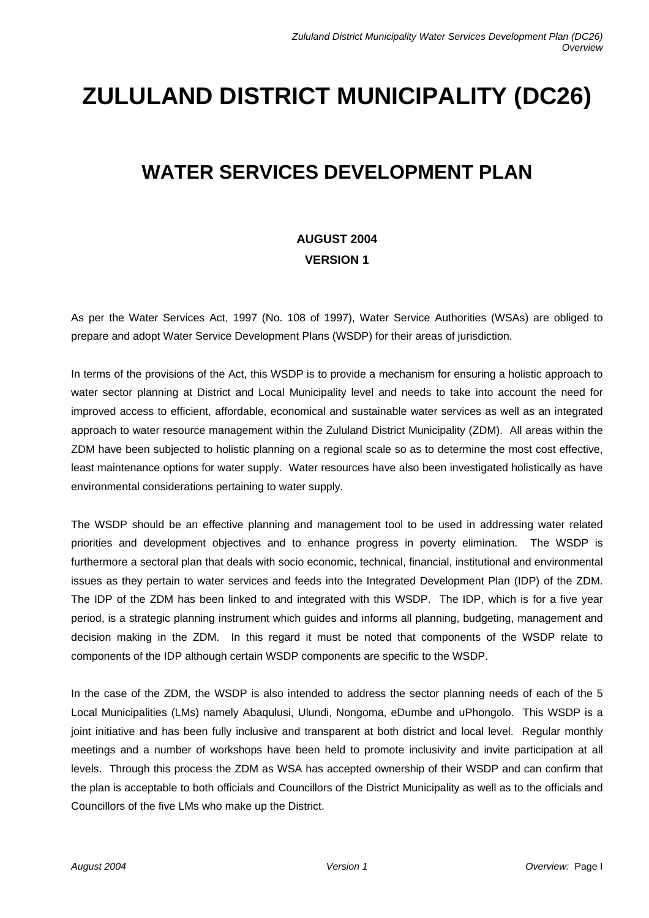## **ZULULAND DISTRICT MUNICIPALITY (DC26)**

## **WATER SERVICES DEVELOPMENT PLAN**

## **AUGUST 2004 VERSION 1**

As per the Water Services Act, 1997 (No. 108 of 1997), Water Service Authorities (WSAs) are obliged to prepare and adopt Water Service Development Plans (WSDP) for their areas of jurisdiction.

In terms of the provisions of the Act, this WSDP is to provide a mechanism for ensuring a holistic approach to water sector planning at District and Local Municipality level and needs to take into account the need for improved access to efficient, affordable, economical and sustainable water services as well as an integrated approach to water resource management within the Zululand District Municipality (ZDM). All areas within the ZDM have been subjected to holistic planning on a regional scale so as to determine the most cost effective, least maintenance options for water supply. Water resources have also been investigated holistically as have environmental considerations pertaining to water supply.

The WSDP should be an effective planning and management tool to be used in addressing water related priorities and development objectives and to enhance progress in poverty elimination. The WSDP is furthermore a sectoral plan that deals with socio economic, technical, financial, institutional and environmental issues as they pertain to water services and feeds into the Integrated Development Plan (IDP) of the ZDM. The IDP of the ZDM has been linked to and integrated with this WSDP. The IDP, which is for a five year period, is a strategic planning instrument which guides and informs all planning, budgeting, management and decision making in the ZDM. In this regard it must be noted that components of the WSDP relate to components of the IDP although certain WSDP components are specific to the WSDP.

In the case of the ZDM, the WSDP is also intended to address the sector planning needs of each of the 5 Local Municipalities (LMs) namely Abaqulusi, Ulundi, Nongoma, eDumbe and uPhongolo. This WSDP is a joint initiative and has been fully inclusive and transparent at both district and local level. Regular monthly meetings and a number of workshops have been held to promote inclusivity and invite participation at all levels. Through this process the ZDM as WSA has accepted ownership of their WSDP and can confirm that the plan is acceptable to both officials and Councillors of the District Municipality as well as to the officials and Councillors of the five LMs who make up the District.